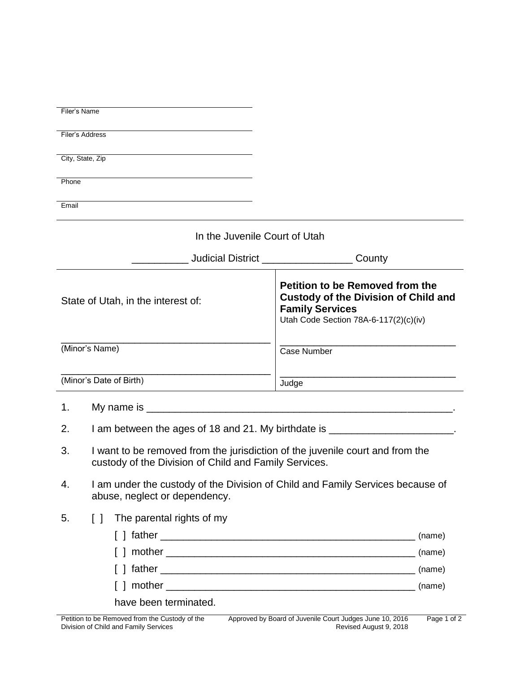|                                    | Filer's Name                                                                                                                           |                                                                                                                                                   |  |
|------------------------------------|----------------------------------------------------------------------------------------------------------------------------------------|---------------------------------------------------------------------------------------------------------------------------------------------------|--|
|                                    | Filer's Address                                                                                                                        |                                                                                                                                                   |  |
|                                    | City, State, Zip                                                                                                                       |                                                                                                                                                   |  |
| Phone                              |                                                                                                                                        |                                                                                                                                                   |  |
| Email                              |                                                                                                                                        |                                                                                                                                                   |  |
|                                    | In the Juvenile Court of Utah                                                                                                          |                                                                                                                                                   |  |
|                                    | ____________ Judicial District ______________________ County                                                                           |                                                                                                                                                   |  |
| State of Utah, in the interest of: |                                                                                                                                        | Petition to be Removed from the<br><b>Custody of the Division of Child and</b><br><b>Family Services</b><br>Utah Code Section 78A-6-117(2)(c)(iv) |  |
| (Minor's Name)                     |                                                                                                                                        | Case Number                                                                                                                                       |  |
| (Minor's Date of Birth)            |                                                                                                                                        | Judge                                                                                                                                             |  |
| 1.                                 |                                                                                                                                        |                                                                                                                                                   |  |
| 2.                                 |                                                                                                                                        | I am between the ages of 18 and 21. My birthdate is _______________________.                                                                      |  |
| 3.                                 | I want to be removed from the jurisdiction of the juvenile court and from the<br>custody of the Division of Child and Family Services. |                                                                                                                                                   |  |
| 4.                                 | I am under the custody of the Division of Child and Family Services because of<br>abuse, neglect or dependency.                        |                                                                                                                                                   |  |
| 5.                                 | The parental rights of my<br>$\Box$                                                                                                    |                                                                                                                                                   |  |
|                                    |                                                                                                                                        | (name)                                                                                                                                            |  |
|                                    |                                                                                                                                        |                                                                                                                                                   |  |
|                                    |                                                                                                                                        | (name)                                                                                                                                            |  |
|                                    |                                                                                                                                        | (name)                                                                                                                                            |  |
|                                    | have been terminated.                                                                                                                  |                                                                                                                                                   |  |